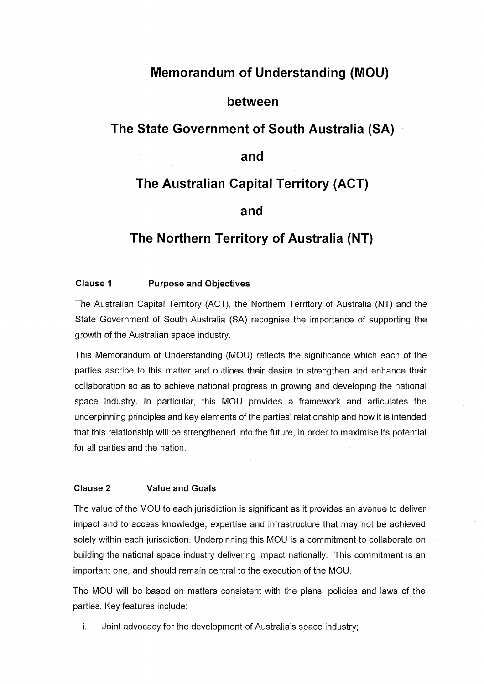# **Memorandum of Understanding (MOU)**

## **between**

## **The State Government of South Australia (SA)**

## **and**

# **The Australian Capital Territory (ACT)**

### **and**

## **The Northern Territory of Australia (NT)**

#### **Clause 1 Purpose and Objectives**

The Australian Capital Territory (ACT), the Northern Territory of Australia (NT) and the State Government of South Australia (SA) recognise the importance of supporting the growth of the Australian space industry.

This Memorandum of Understanding (MOU) reflects the significance which each of the parties ascribe to this matter and outlines their desire to strengthen and enhance their collaboration so as to achieve national progress in growing and developing the national space industry. In particular, this MOU provides a framework and articulates the underpinning principles and key elements of the parties' relationship and how it is intended that this relationship will be strengthened into the future, in order to maximise its potential for all parties and the nation.

#### **Clause 2 Value and Goals**

The value of the MOU to each jurisdiction is significant as it provides an avenue to deliver impact and to access knowledge, expertise and infrastructure that may not be achieved solely within each jurisdiction. Underpinning this MOU is a commitment to collaborate on building the national space industry delivering impact nationally. This commitment is an important one, and should remain central to the execution of the MOU.

The MOU will be based on matters consistent with the plans, policies and laws of the parties. Key features include:

i. Joint advocacy for the development of Australia's space industry;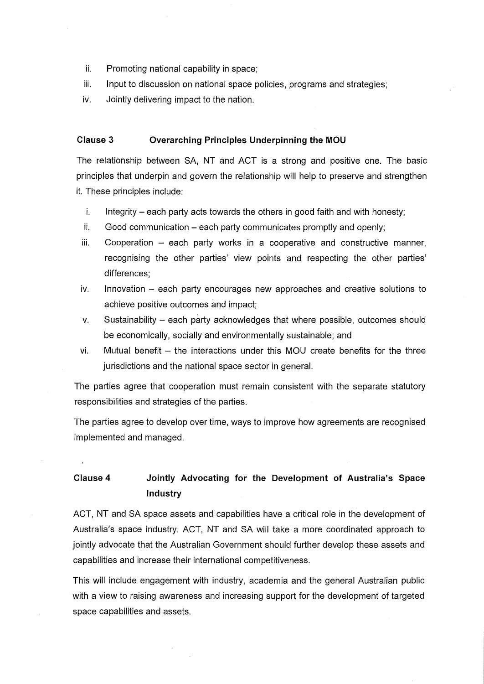- ii. Promoting national capability in space;
- iii. Input to discussion on national space policies, programs and strategies;
- iv. Jointly delivering impact to the nation.

 $\overline{a}$ 

#### **Clause 3 Overarching Principles Underpinning the MOU**

The relationship between SA, NT and ACT is a strong and positive one. The basic principles that underpin and govern the relationship will help to preserve and strengthen it. These principles include:

- $i.$  Integrity  $-$  each party acts towards the others in good faith and with honesty:
- $ii.$  Good communication each party communicates promptly and openly;
- $iii.$  Cooperation  $-$  each party works in a cooperative and constructive manner, recognising the other parties' view points and respecting the other parties' differences;
- iv. Innovation each party encourages new approaches and creative solutions to achieve positive outcomes and impact;
- v. Sustainability each party acknowledges that where possible, outcomes should be economically, socially and environmentally sustainable; and
- $vi.$  Mutual benefit  $-$  the interactions under this MOU create benefits for the three jurisdictions and the national space sector in general.

The parties agree that cooperation must remain consistent with the separate statutory responsibilities and strategies of the parties.

The parties agree to develop over time, ways to improve how agreements are recognised implemented and managed.

# **Clause 4 Jointly Advocating for the Development of Australia's Space Industry**

ACT, NT and SA space assets and capabilities have a critical role in the development of Australia's space industry. ACT, NT and SA will take a more coordinated approach to jointly advocate that the Australian Government should further develop these assets and capabilities and increase their international competitiveness.

This will include engagement with industry, academia and the general Australian public with a view to raising awareness and increasing support for the development of targeted space capabilities and assets.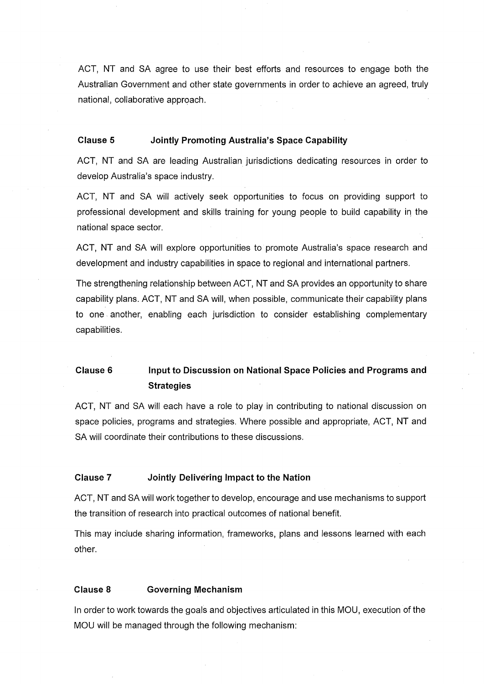ACT, NT and SA agree to use their best efforts and resources to engage both the Australian Government and other state governments in order to achieve an agreed, truly national, collaborative approach.

#### **Clause 5 Jointly Promoting Australia's Space Capability**

ACT, NT and SA are leading Australian jurisdictions dedicating resources in order to develop Australia's space industry.

ACT, NT and SA will actively seek opportunities to focus on providing support to professional development and skills training for young people to build capability in the national space sector.

ACT, NT and SA will explore opportunities to promote Australia's space research and development and industry capabilities in space to regional and international partners.

The strengthening relationship between ACT, NT and SA provides an opportunity to share capability plans. ACT, NT and SA will, when possible, communicate their capability plans to one. another, enabling each jurisdiction to consider establishing complementary capabilities.

# **Clause 6 Input to Discussion on National Space Policies and Programs and Strategies**

ACT, NT and SA will each have a role to play in contributing to national discussion on space policies, programs and strategies. Where possible and appropriate, ACT, NT and SA will coordinate their contributions to these discussions.

#### **Clause 7 Jointly Delivering Impact to the Nation**

ACT, NT and SA will work together to develop, encourage and use mechanisms to support the transition of research into practical outcomes of national benefit.

This may include sharing information, frameworks, plans and lessons learned with each other.

#### **Clause 8 Governing Mechanism**

In order to work towards the goals and objectives articulated in this MOU, execution of the MOU will be managed through the following mechanism: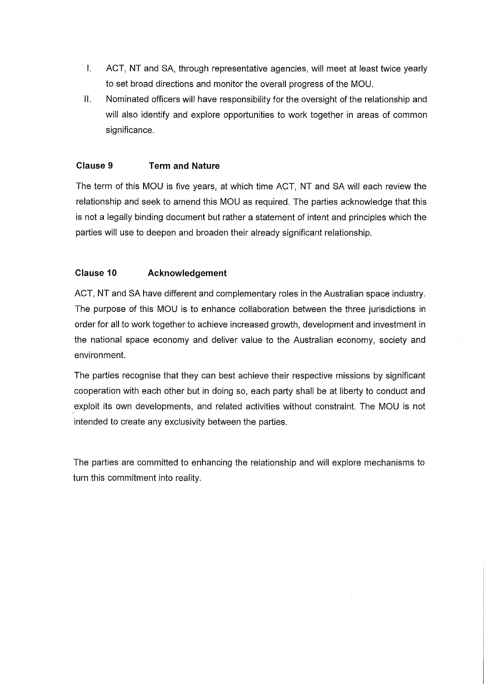- I. ACT, NT and SA, through representative agencies, will meet at least twice yearly to set broad directions and monitor the overall progress of the MOU.
- II. Nominated officers will have responsibility for the oversight of the relationship and will also identify and explore opportunities to work together in areas of common significance.

## **Clause 9 Term and Nature**

The term of this MOU is five years, at which time ACT, NT and SA will each review the relationship and seek to amend this MOU as required. The parties acknowledge that this is not a legally binding document but rather a statement of intent and principles which the parties will use to deepen and broaden their already significant relationship.

## **Clause 10 Acknowledgement**

ACT, NT and SA have different and complementary roles in the Australian space industry. The purpose of this MOU is to enhance collaboration between the three jurisdictions in order for all to work together to achieve increased growth, development and investment in the national space economy and deliver value to the Australian economy, society and environment.

The parties recognise that they can best achieve their respective missions by significant cooperation with each other but in doing so, each party shall be at liberty to conduct and exploit its own developments, and related activities without constraint. The MOU is not intended to create any exclusivity between the parties.

The parties are committed to enhancing the relationship and will explore mechanisms to turn this commitment into reality.